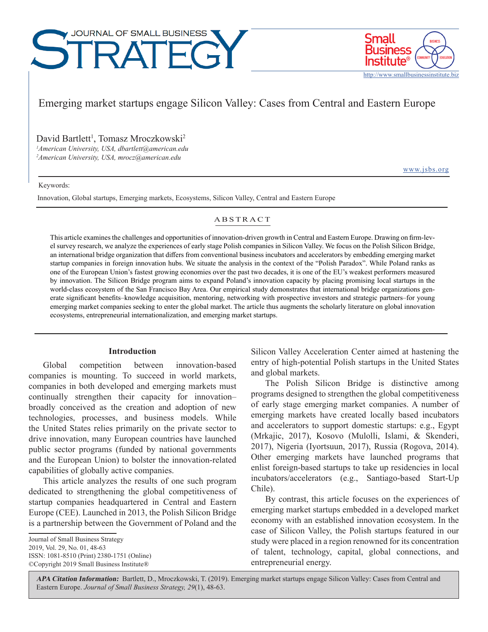# JOURNAL OF SMALL BUSINESS  $\mathsf{H}(\mathsf{H})$



Emerging market startups engage Silicon Valley: Cases from Central and Eastern Europe

David Bartlett<sup>1</sup>, Tomasz Mroczkowski<sup>2</sup>

*1 American University, USA, dbartlett@american.edu 2 American University, USA, mrocz@american.edu*

[www.jsbs.org](http://www.jsbs.org)

Keywords:

Innovation, Global startups, Emerging markets, Ecosystems, Silicon Valley, Central and Eastern Europe

# ABSTRACT

This article examines the challenges and opportunities of innovation-driven growth in Central and Eastern Europe. Drawing on firm-level survey research, we analyze the experiences of early stage Polish companies in Silicon Valley. We focus on the Polish Silicon Bridge, an international bridge organization that differs from conventional business incubators and accelerators by embedding emerging market startup companies in foreign innovation hubs. We situate the analysis in the context of the "Polish Paradox". While Poland ranks as one of the European Union's fastest growing economies over the past two decades, it is one of the EU's weakest performers measured by innovation. The Silicon Bridge program aims to expand Poland's innovation capacity by placing promising local startups in the world-class ecosystem of the San Francisco Bay Area. Our empirical study demonstrates that international bridge organizations generate significant benefits–knowledge acquisition, mentoring, networking with prospective investors and strategic partners–for young emerging market companies seeking to enter the global market. The article thus augments the scholarly literature on global innovation ecosystems, entrepreneurial internationalization, and emerging market startups.

# **Introduction**

Global competition between innovation-based companies is mounting. To succeed in world markets, companies in both developed and emerging markets must continually strengthen their capacity for innovation– broadly conceived as the creation and adoption of new technologies, processes, and business models. While the United States relies primarily on the private sector to drive innovation, many European countries have launched public sector programs (funded by national governments and the European Union) to bolster the innovation-related capabilities of globally active companies.

This article analyzes the results of one such program dedicated to strengthening the global competitiveness of startup companies headquartered in Central and Eastern Europe (CEE). Launched in 2013, the Polish Silicon Bridge is a partnership between the Government of Poland and the

Journal of Small Business Strategy 2019, Vol. 29, No. 01, 48-63 ISSN: 1081-8510 (Print) 2380-1751 (Online) ©Copyright 2019 Small Business Institute®

Silicon Valley Acceleration Center aimed at hastening the entry of high-potential Polish startups in the United States and global markets.

The Polish Silicon Bridge is distinctive among programs designed to strengthen the global competitiveness of early stage emerging market companies. A number of emerging markets have created locally based incubators and accelerators to support domestic startups: e.g., Egypt (Mrkajic, 2017), Kosovo (Mulolli, Islami, & Skenderi, 2017), Nigeria (Iyortsuun, 2017), Russia (Rogova, 2014). Other emerging markets have launched programs that enlist foreign-based startups to take up residencies in local incubators/accelerators (e.g., Santiago-based Start-Up Chile).

By contrast, this article focuses on the experiences of emerging market startups embedded in a developed market economy with an established innovation ecosystem. In the case of Silicon Valley, the Polish startups featured in our study were placed in a region renowned for its concentration of talent, technology, capital, global connections, and entrepreneurial energy.

**APA Citation Information:** Bartlett, D., Mroczkowski, T. (2019). Emerging market startups engage Silicon Valley: Cases from Central and Eastern Europe. *Journal of Small Business Strategy, 29*(1), 48-63.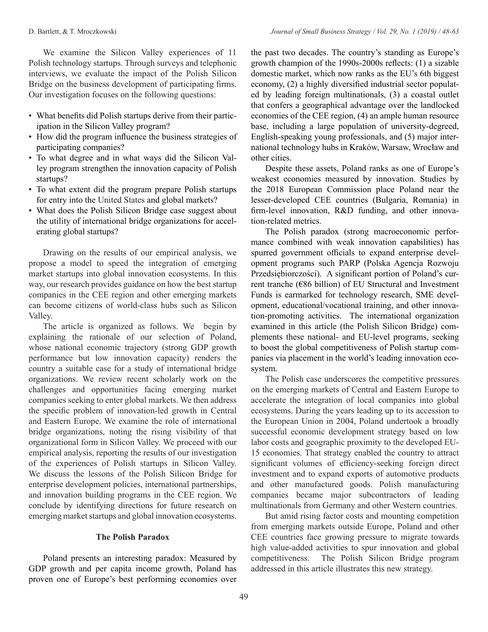We examine the Silicon Valley experiences of 11 Polish technology startups. Through surveys and telephonic interviews, we evaluate the impact of the Polish Silicon Bridge on the business development of participating firms. Our investigation focuses on the following questions:

- What benefits did Polish startups derive from their participation in the Silicon Valley program?
- How did the program influence the business strategies of participating companies?
- To what degree and in what ways did the Silicon Valley program strengthen the innovation capacity of Polish startups?
- To what extent did the program prepare Polish startups for entry into the United States and global markets?
- What does the Polish Silicon Bridge case suggest about the utility of international bridge organizations for accelerating global startups?

Drawing on the results of our empirical analysis, we propose a model to speed the integration of emerging market startups into global innovation ecosystems. In this way, our research provides guidance on how the best startup companies in the CEE region and other emerging markets can become citizens of world-class hubs such as Silicon Valley.

The article is organized as follows. We begin by explaining the rationale of our selection of Poland, whose national economic trajectory (strong GDP growth performance but low innovation capacity) renders the country a suitable case for a study of international bridge organizations. We review recent scholarly work on the challenges and opportunities facing emerging market companies seeking to enter global markets. We then address the specific problem of innovation-led growth in Central and Eastern Europe. We examine the role of international bridge organizations, noting the rising visibility of that organizational form in Silicon Valley. We proceed with our empirical analysis, reporting the results of our investigation of the experiences of Polish startups in Silicon Valley. We discuss the lessons of the Polish Silicon Bridge for enterprise development policies, international partnerships, and innovation building programs in the CEE region. We conclude by identifying directions for future research on emerging market startups and global innovation ecosystems.

# **The Polish Paradox**

Poland presents an interesting paradox: Measured by GDP growth and per capita income growth, Poland has proven one of Europe's best performing economies over the past two decades. The country's standing as Europe's growth champion of the 1990s-2000s reflects: (1) a sizable domestic market, which now ranks as the EU's 6th biggest economy, (2) a highly diversified industrial sector populated by leading foreign multinationals, (3) a coastal outlet that confers a geographical advantage over the landlocked economies of the CEE region, (4) an ample human resource base, including a large population of university-degreed, English-speaking young professionals, and (5) major international technology hubs in Kraków, Warsaw, Wrocław and other cities.

Despite these assets, Poland ranks as one of Europe's weakest economies measured by innovation. Studies by the 2018 European Commission place Poland near the lesser-developed CEE countries (Bulgaria, Romania) in firm-level innovation, R&D funding, and other innovation-related metrics.

The Polish paradox (strong macroeconomic performance combined with weak innovation capabilities) has spurred government officials to expand enterprise development programs such PARP (Polska Agencja Rozwoju Przedsiębiorczości). A significant portion of Poland's current tranche (€86 billion) of EU Structural and Investment Funds is earmarked for technology research, SME development, educational/vocational training, and other innovation-promoting activities. The international organization examined in this article (the Polish Silicon Bridge) complements these national- and EU-level programs, seeking to boost the global competitiveness of Polish startup companies via placement in the world's leading innovation ecosystem.

The Polish case underscores the competitive pressures on the emerging markets of Central and Eastern Europe to accelerate the integration of local companies into global ecosystems. During the years leading up to its accession to the European Union in 2004, Poland undertook a broadly successful economic development strategy based on low labor costs and geographic proximity to the developed EU-15 economies. That strategy enabled the country to attract significant volumes of efficiency-seeking foreign direct investment and to expand exports of automotive products and other manufactured goods. Polish manufacturing companies became major subcontractors of leading multinationals from Germany and other Western countries.

But amid rising factor costs and mounting competition from emerging markets outside Europe, Poland and other CEE countries face growing pressure to migrate towards high value-added activities to spur innovation and global competitiveness. The Polish Silicon Bridge program addressed in this article illustrates this new strategy.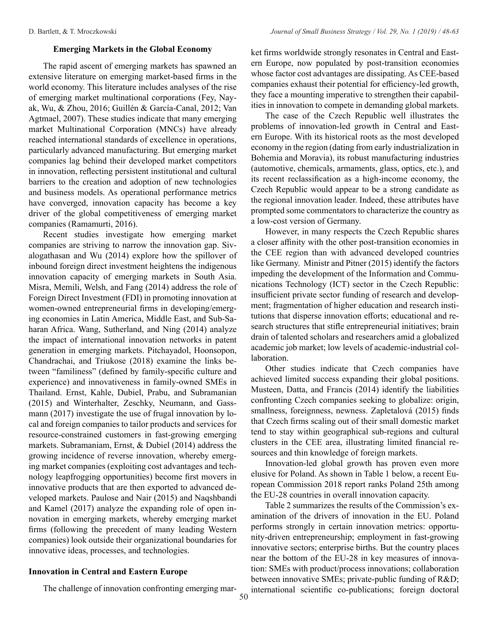# **Emerging Markets in the Global Economy**

The rapid ascent of emerging markets has spawned an extensive literature on emerging market-based firms in the world economy. This literature includes analyses of the rise of emerging market multinational corporations (Fey, Nayak, Wu, & Zhou, 2016; Guillén & García-Canal, 2012; Van Agtmael, 2007). These studies indicate that many emerging market Multinational Corporation (MNCs) have already reached international standards of excellence in operations, particularly advanced manufacturing. But emerging market companies lag behind their developed market competitors in innovation, reflecting persistent institutional and cultural barriers to the creation and adoption of new technologies and business models. As operational performance metrics have converged, innovation capacity has become a key driver of the global competitiveness of emerging market companies (Ramamurti, 2016).

Recent studies investigate how emerging market companies are striving to narrow the innovation gap. Sivalogathasan and Wu (2014) explore how the spillover of inbound foreign direct investment heightens the indigenous innovation capacity of emerging markets in South Asia. Misra, Memili, Welsh, and Fang (2014) address the role of Foreign Direct Investment (FDI) in promoting innovation at women-owned entrepreneurial firms in developing/emerging economies in Latin America, Middle East, and Sub-Saharan Africa. Wang, Sutherland, and Ning (2014) analyze the impact of international innovation networks in patent generation in emerging markets. Pitchayadol, Hoonsopon, Chandrachai, and Triukose (2018) examine the links between "familiness" (defined by family-specific culture and experience) and innovativeness in family-owned SMEs in Thailand. Ernst, Kahle, Dubiel, Prabu, and Subramanian (2015) and Winterhalter, Zeschky, Neumann, and Gassmann (2017) investigate the use of frugal innovation by local and foreign companies to tailor products and services for resource-constrained customers in fast-growing emerging markets. Subramaniam, Ernst, & Dubiel (2014) address the growing incidence of reverse innovation, whereby emerging market companies (exploiting cost advantages and technology leapfrogging opportunities) become first movers in innovative products that are then exported to advanced developed markets. Paulose and Nair (2015) and Naqshbandi and Kamel (2017) analyze the expanding role of open innovation in emerging markets, whereby emerging market firms (following the precedent of many leading Western companies) look outside their organizational boundaries for innovative ideas, processes, and technologies.

# **Innovation in Central and Eastern Europe**

The challenge of innovation confronting emerging mar-

ket firms worldwide strongly resonates in Central and Eastern Europe, now populated by post-transition economies whose factor cost advantages are dissipating. As CEE-based companies exhaust their potential for efficiency-led growth, they face a mounting imperative to strengthen their capabilities in innovation to compete in demanding global markets.

The case of the Czech Republic well illustrates the problems of innovation-led growth in Central and Eastern Europe. With its historical roots as the most developed economy in the region (dating from early industrialization in Bohemia and Moravia), its robust manufacturing industries (automotive, chemicals, armaments, glass, optics, etc.), and its recent reclassification as a high-income economy, the Czech Republic would appear to be a strong candidate as the regional innovation leader. Indeed, these attributes have prompted some commentators to characterize the country as a low-cost version of Germany.

However, in many respects the Czech Republic shares a closer affinity with the other post-transition economies in the CEE region than with advanced developed countries like Germany. Ministr and Pitner (2015) identify the factors impeding the development of the Information and Communications Technology (ICT) sector in the Czech Republic: insufficient private sector funding of research and development; fragmentation of higher education and research institutions that disperse innovation efforts; educational and research structures that stifle entrepreneurial initiatives; brain drain of talented scholars and researchers amid a globalized academic job market; low levels of academic-industrial collaboration.

Other studies indicate that Czech companies have achieved limited success expanding their global positions. Musteen, Datta, and Francis (2014) identify the liabilities confronting Czech companies seeking to globalize: origin, smallness, foreignness, newness. Zapletalová (2015) finds that Czech firms scaling out of their small domestic market tend to stay within geographical sub-regions and cultural clusters in the CEE area, illustrating limited financial resources and thin knowledge of foreign markets.

Innovation-led global growth has proven even more elusive for Poland. As shown in Table 1 below, a recent European Commission 2018 report ranks Poland 25th among the EU-28 countries in overall innovation capacity.

Table 2 summarizes the results of the Commission's examination of the drivers of innovation in the EU. Poland performs strongly in certain innovation metrics: opportunity-driven entrepreneurship; employment in fast-growing innovative sectors; enterprise births. But the country places near the bottom of the EU-28 in key measures of innovation: SMEs with product/process innovations; collaboration between innovative SMEs; private-public funding of R&D; international scientific co-publications; foreign doctoral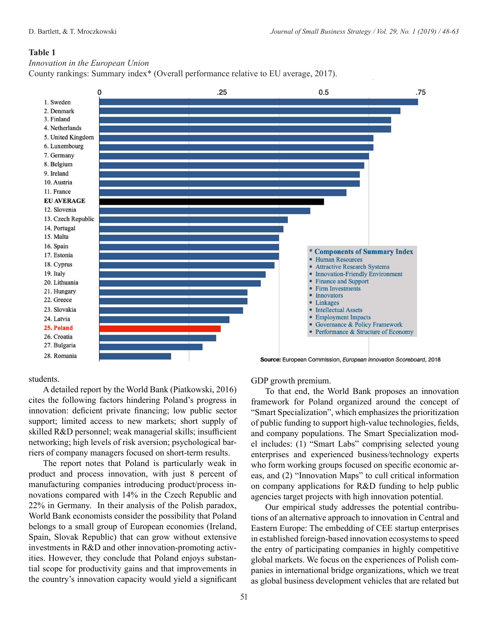#### *Innovation in the European Union*

County rankings: Summary index\* (Overall performance relative to EU average, 2017).



#### students.

A detailed report by the World Bank (Piatkowski, 2016) cites the following factors hindering Poland's progress in innovation: deficient private financing; low public sector support; limited access to new markets; short supply of skilled R&D personnel; weak managerial skills; insufficient networking; high levels of risk aversion; psychological barriers of company managers focused on short-term results.

The report notes that Poland is particularly weak in product and process innovation, with just 8 percent of manufacturing companies introducing product/process innovations compared with 14% in the Czech Republic and 22% in Germany. In their analysis of the Polish paradox, World Bank economists consider the possibility that Poland belongs to a small group of European economies (Ireland, Spain, Slovak Republic) that can grow without extensive investments in R&D and other innovation-promoting activities. However, they conclude that Poland enjoys substantial scope for productivity gains and that improvements in the country's innovation capacity would yield a significant

GDP growth premium.

To that end, the World Bank proposes an innovation framework for Poland organized around the concept of "Smart Specialization", which emphasizes the prioritization of public funding to support high-value technologies, fields, and company populations. The Smart Specialization model includes: (1) "Smart Labs" comprising selected young enterprises and experienced business/technology experts who form working groups focused on specific economic areas, and (2) "Innovation Maps" to cull critical information on company applications for R&D funding to help public agencies target projects with high innovation potential.

Our empirical study addresses the potential contributions of an alternative approach to innovation in Central and Eastern Europe: The embedding of CEE startup enterprises in established foreign-based innovation ecosystems to speed the entry of participating companies in highly competitive global markets. We focus on the experiences of Polish companies in international bridge organizations, which we treat as global business development vehicles that are related but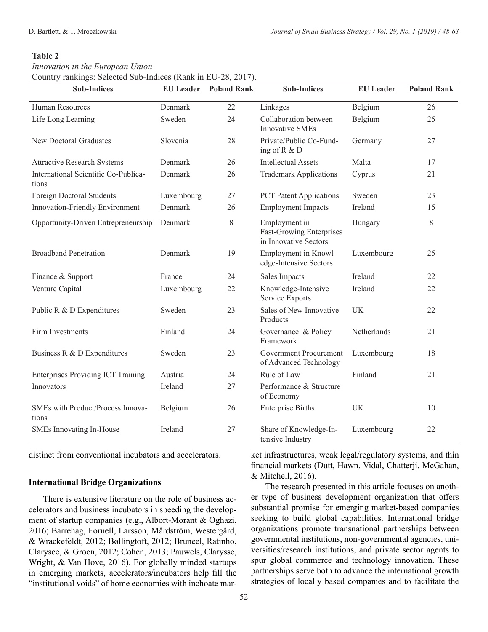*Innovation in the European Union* Country rankings: Selected Sub-Indices (Rank in EU-28, 2017).

| <b>Sub-Indices</b>                            | <b>EU</b> Leader | <b>Poland Rank</b> | <b>Sub-Indices</b>                                                        | <b>EU</b> Leader | <b>Poland Rank</b> |
|-----------------------------------------------|------------------|--------------------|---------------------------------------------------------------------------|------------------|--------------------|
| Human Resources                               | Denmark          | 22                 | Linkages                                                                  | Belgium          | 26                 |
| Life Long Learning                            | Sweden           | 24                 | Collaboration between<br><b>Innovative SMEs</b>                           | Belgium          | 25                 |
| <b>New Doctoral Graduates</b>                 | Slovenia         | 28                 | Private/Public Co-Fund-<br>ing of R & D                                   | Germany          | 27                 |
| <b>Attractive Research Systems</b>            | Denmark          | 26                 | <b>Intellectual Assets</b>                                                | Malta            | 17                 |
| International Scientific Co-Publica-<br>tions | Denmark          | 26                 | <b>Trademark Applications</b>                                             | Cyprus           | 21                 |
| Foreign Doctoral Students                     | Luxembourg       | 27                 | <b>PCT Patent Applications</b>                                            | Sweden           | 23                 |
| Innovation-Friendly Environment               | Denmark          | 26                 | <b>Employment Impacts</b>                                                 | Ireland          | 15                 |
| Opportunity-Driven Entrepreneurship           | Denmark          | $8\,$              | Employment in<br><b>Fast-Growing Enterprises</b><br>in Innovative Sectors | Hungary          | $8\,$              |
| <b>Broadband Penetration</b>                  | Denmark          | 19                 | Employment in Knowl-<br>edge-Intensive Sectors                            | Luxembourg       | 25                 |
| Finance & Support                             | France           | 24                 | Sales Impacts                                                             | Ireland          | 22                 |
| Venture Capital                               | Luxembourg       | 22                 | Knowledge-Intensive<br>Service Exports                                    | Ireland          | 22                 |
| Public R & D Expenditures                     | Sweden           | 23                 | Sales of New Innovative<br>Products                                       | UK               | 22                 |
| Firm Investments                              | Finland          | 24                 | Governance & Policy<br>Framework                                          | Netherlands      | 21                 |
| Business R & D Expenditures                   | Sweden           | 23                 | <b>Government Procurement</b><br>of Advanced Technology                   | Luxembourg       | 18                 |
| <b>Enterprises Providing ICT Training</b>     | Austria          | 24                 | Rule of Law                                                               | Finland          | 21                 |
| Innovators                                    | Ireland          | 27                 | Performance & Structure<br>of Economy                                     |                  |                    |
| SMEs with Product/Process Innova-<br>tions    | Belgium          | 26                 | <b>Enterprise Births</b>                                                  | UK               | 10                 |
| SMEs Innovating In-House                      | Ireland          | 27                 | Share of Knowledge-In-<br>tensive Industry                                | Luxembourg       | 22                 |

distinct from conventional incubators and accelerators.

#### **International Bridge Organizations**

There is extensive literature on the role of business accelerators and business incubators in speeding the development of startup companies (e.g., Albort-Morant & Oghazi, 2016; Barrehag, Fornell, Larsson, Mårdström, Westergård, & Wrackefeldt, 2012; Bøllingtoft, 2012; Bruneel, Ratinho, Clarysee, & Groen, 2012; Cohen, 2013; Pauwels, Clarysse, Wright, & Van Hove, 2016). For globally minded startups in emerging markets, accelerators/incubators help fill the "institutional voids" of home economies with inchoate mar-

substantial promise for emerging market-based companies seeking to build global capabilities. International bridge

& Mitchell, 2016).

organizations promote transnational partnerships between governmental institutions, non-governmental agencies, universities/research institutions, and private sector agents to spur global commerce and technology innovation. These partnerships serve both to advance the international growth strategies of locally based companies and to facilitate the

ket infrastructures, weak legal/regulatory systems, and thin financial markets (Dutt, Hawn, Vidal, Chatterji, McGahan,

The research presented in this article focuses on another type of business development organization that offers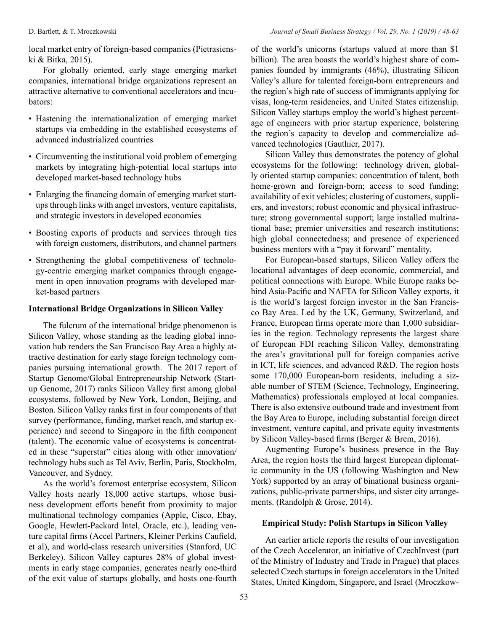local market entry of foreign-based companies (Pietrasienski & Bitka, 2015).

For globally oriented, early stage emerging market companies, international bridge organizations represent an attractive alternative to conventional accelerators and incubators:

- Hastening the internationalization of emerging market startups via embedding in the established ecosystems of advanced industrialized countries
- Circumventing the institutional void problem of emerging markets by integrating high-potential local startups into developed market-based technology hubs
- Enlarging the financing domain of emerging market startups through links with angel investors, venture capitalists, and strategic investors in developed economies
- Boosting exports of products and services through ties with foreign customers, distributors, and channel partners
- Strengthening the global competitiveness of technology-centric emerging market companies through engagement in open innovation programs with developed market-based partners

# **International Bridge Organizations in Silicon Valley**

The fulcrum of the international bridge phenomenon is Silicon Valley, whose standing as the leading global innovation hub renders the San Francisco Bay Area a highly attractive destination for early stage foreign technology companies pursuing international growth. The 2017 report of Startup Genome/Global Entrepreneurship Network (Startup Genome, 2017) ranks Silicon Valley first among global ecosystems, followed by New York, London, Beijing, and Boston. Silicon Valley ranks first in four components of that survey (performance, funding, market reach, and startup experience) and second to Singapore in the fifth component (talent). The economic value of ecosystems is concentrated in these "superstar" cities along with other innovation/ technology hubs such as Tel Aviv, Berlin, Paris, Stockholm, Vancouver, and Sydney.

As the world's foremost enterprise ecosystem, Silicon Valley hosts nearly 18,000 active startups, whose business development efforts benefit from proximity to major multinational technology companies (Apple, Cisco, Ebay, Google, Hewlett-Packard Intel, Oracle, etc.), leading venture capital firms (Accel Partners, Kleiner Perkins Caufield, et al), and world-class research universities (Stanford, UC Berkeley). Silicon Valley captures 28% of global investments in early stage companies, generates nearly one-third of the exit value of startups globally, and hosts one-fourth of the world's unicorns (startups valued at more than \$1 billion). The area boasts the world's highest share of companies founded by immigrants (46%), illustrating Silicon Valley's allure for talented foreign-born entrepreneurs and the region's high rate of success of immigrants applying for visas, long-term residencies, and United States citizenship. Silicon Valley startups employ the world's highest percentage of engineers with prior startup experience, bolstering the region's capacity to develop and commercialize advanced technologies (Gauthier, 2017).

Silicon Valley thus demonstrates the potency of global ecosystems for the following: technology driven, globally oriented startup companies: concentration of talent, both home-grown and foreign-born; access to seed funding; availability of exit vehicles; clustering of customers, suppliers, and investors; robust economic and physical infrastructure; strong governmental support; large installed multinational base; premier universities and research institutions; high global connectedness; and presence of experienced business mentors with a "pay it forward" mentality.

For European-based startups, Silicon Valley offers the locational advantages of deep economic, commercial, and political connections with Europe. While Europe ranks behind Asia-Pacific and NAFTA for Silicon Valley exports, it is the world's largest foreign investor in the San Francisco Bay Area. Led by the UK, Germany, Switzerland, and France, European firms operate more than 1,000 subsidiaries in the region. Technology represents the largest share of European FDI reaching Silicon Valley, demonstrating the area's gravitational pull for foreign companies active in ICT, life sciences, and advanced R&D. The region hosts some 170,000 European-born residents, including a sizable number of STEM (Science, Technology, Engineering, Mathematics) professionals employed at local companies. There is also extensive outbound trade and investment from the Bay Area to Europe, including substantial foreign direct investment, venture capital, and private equity investments by Silicon Valley-based firms (Berger & Brem, 2016).

Augmenting Europe's business presence in the Bay Area, the region hosts the third largest European diplomatic community in the US (following Washington and New York) supported by an array of binational business organizations, public-private partnerships, and sister city arrangements. (Randolph & Grose, 2014).

# **Empirical Study: Polish Startups in Silicon Valley**

An earlier article reports the results of our investigation of the Czech Accelerator, an initiative of CzechInvest (part of the Ministry of Industry and Trade in Prague) that places selected Czech startups in foreign accelerators in the United States, United Kingdom, Singapore, and Israel (Mroczkow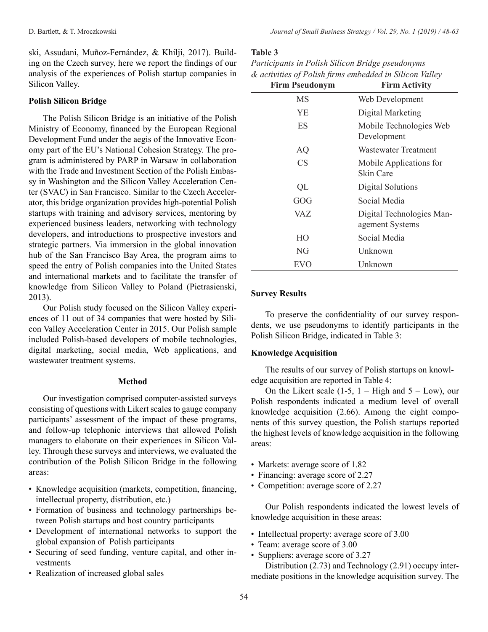ski, Assudani, Muñoz-Fernández, & Khilji, 2017). Building on the Czech survey, here we report the findings of our analysis of the experiences of Polish startup companies in Silicon Valley.

# **Polish Silicon Bridge**

The Polish Silicon Bridge is an initiative of the Polish Ministry of Economy, financed by the European Regional Development Fund under the aegis of the Innovative Economy part of the EU's National Cohesion Strategy. The program is administered by PARP in Warsaw in collaboration with the Trade and Investment Section of the Polish Embassy in Washington and the Silicon Valley Acceleration Center (SVAC) in San Francisco. Similar to the Czech Accelerator, this bridge organization provides high-potential Polish startups with training and advisory services, mentoring by experienced business leaders, networking with technology developers, and introductions to prospective investors and strategic partners. Via immersion in the global innovation hub of the San Francisco Bay Area, the program aims to speed the entry of Polish companies into the United States and international markets and to facilitate the transfer of knowledge from Silicon Valley to Poland (Pietrasienski, 2013).

Our Polish study focused on the Silicon Valley experiences of 11 out of 34 companies that were hosted by Silicon Valley Acceleration Center in 2015. Our Polish sample included Polish-based developers of mobile technologies, digital marketing, social media, Web applications, and wastewater treatment systems.

#### **Method**

Our investigation comprised computer-assisted surveys consisting of questions with Likert scales to gauge company participants' assessment of the impact of these programs, and follow-up telephonic interviews that allowed Polish managers to elaborate on their experiences in Silicon Valley. Through these surveys and interviews, we evaluated the contribution of the Polish Silicon Bridge in the following areas:

- Knowledge acquisition (markets, competition, financing, intellectual property, distribution, etc.)
- Formation of business and technology partnerships between Polish startups and host country participants
- Development of international networks to support the global expansion of Polish participants
- Securing of seed funding, venture capital, and other investments
- Realization of increased global sales

#### **Table 3**

| Participants in Polish Silicon Bridge pseudonyms |                                                         |
|--------------------------------------------------|---------------------------------------------------------|
|                                                  | & activities of Polish firms embedded in Silicon Valley |

| <b>Firm Pseudonym</b> | <b>Firm Activity</b>                         |
|-----------------------|----------------------------------------------|
| MS                    | Web Development                              |
| YE                    | Digital Marketing                            |
| ES                    | Mobile Technologies Web<br>Development       |
| AQ                    | Wastewater Treatment                         |
| CS                    | Mobile Applications for<br>Skin Care         |
| QL                    | Digital Solutions                            |
| GOG                   | Social Media                                 |
| VAZ                   | Digital Technologies Man-<br>agement Systems |
| HO                    | Social Media                                 |
| NG                    | Unknown                                      |
| EVO                   | Unknown                                      |

# **Survey Results**

To preserve the confidentiality of our survey respondents, we use pseudonyms to identify participants in the Polish Silicon Bridge, indicated in Table 3:

#### **Knowledge Acquisition**

The results of our survey of Polish startups on knowledge acquisition are reported in Table 4:

On the Likert scale (1-5,  $1 =$  High and  $5 =$  Low), our Polish respondents indicated a medium level of overall knowledge acquisition (2.66). Among the eight components of this survey question, the Polish startups reported the highest levels of knowledge acquisition in the following areas:

- Markets: average score of 1.82
- Financing: average score of 2.27
- Competition: average score of 2.27

Our Polish respondents indicated the lowest levels of knowledge acquisition in these areas:

- Intellectual property: average score of 3.00
- Team: average score of 3.00
- Suppliers: average score of 3.27

Distribution (2.73) and Technology (2.91) occupy intermediate positions in the knowledge acquisition survey. The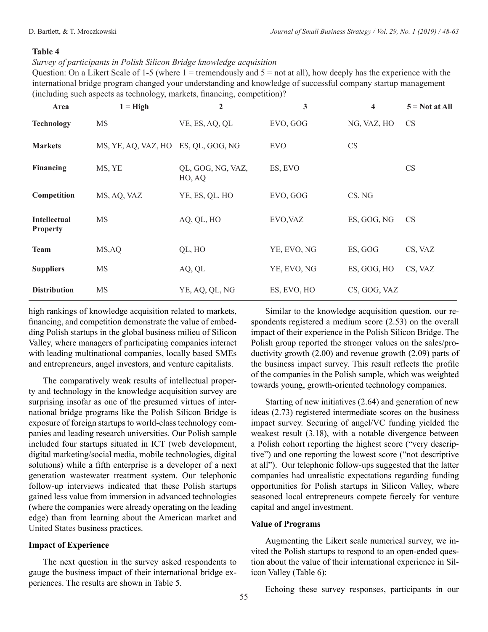# *Survey of participants in Polish Silicon Bridge knowledge acquisition*

Question: On a Likert Scale of 1-5 (where  $1 =$  tremendously and  $5 =$  not at all), how deeply has the experience with the international bridge program changed your understanding and knowledge of successful company startup management (including such aspects as technology, markets, financing, competition)?

| Area                                   | $1 = High$                          | $\overline{2}$              | 3           | 4            | $5 = Not at All$ |
|----------------------------------------|-------------------------------------|-----------------------------|-------------|--------------|------------------|
| <b>Technology</b>                      | <b>MS</b>                           | VE, ES, AQ, QL              | EVO, GOG    | NG, VAZ, HO  | <b>CS</b>        |
| <b>Markets</b>                         | MS, YE, AQ, VAZ, HO ES, QL, GOG, NG |                             | <b>EVO</b>  | CS           |                  |
| Financing                              | MS, YE                              | QL, GOG, NG, VAZ,<br>HO, AQ | ES, EVO     |              | CS               |
| Competition                            | MS, AQ, VAZ                         | YE, ES, QL, HO              | EVO, GOG    | CS, NG       |                  |
| <b>Intellectual</b><br><b>Property</b> | <b>MS</b>                           | AQ, QL, HO                  | EVO, VAZ    | ES, GOG, NG  | <b>CS</b>        |
| <b>Team</b>                            | MS, AQ                              | QL, HO                      | YE, EVO, NG | ES, GOG      | CS, VAZ          |
| <b>Suppliers</b>                       | <b>MS</b>                           | AQ, QL                      | YE, EVO, NG | ES, GOG, HO  | CS, VAZ          |
| <b>Distribution</b>                    | <b>MS</b>                           | YE, AQ, QL, NG              | ES, EVO, HO | CS, GOG, VAZ |                  |

high rankings of knowledge acquisition related to markets, financing, and competition demonstrate the value of embedding Polish startups in the global business milieu of Silicon Valley, where managers of participating companies interact with leading multinational companies, locally based SMEs and entrepreneurs, angel investors, and venture capitalists.

The comparatively weak results of intellectual property and technology in the knowledge acquisition survey are surprising insofar as one of the presumed virtues of international bridge programs like the Polish Silicon Bridge is exposure of foreign startups to world-class technology companies and leading research universities. Our Polish sample included four startups situated in ICT (web development, digital marketing/social media, mobile technologies, digital solutions) while a fifth enterprise is a developer of a next generation wastewater treatment system. Our telephonic follow-up interviews indicated that these Polish startups gained less value from immersion in advanced technologies (where the companies were already operating on the leading edge) than from learning about the American market and United States business practices.

# **Impact of Experience**

The next question in the survey asked respondents to gauge the business impact of their international bridge experiences. The results are shown in Table 5.

Similar to the knowledge acquisition question, our respondents registered a medium score (2.53) on the overall impact of their experience in the Polish Silicon Bridge. The Polish group reported the stronger values on the sales/productivity growth (2.00) and revenue growth (2.09) parts of the business impact survey. This result reflects the profile of the companies in the Polish sample, which was weighted towards young, growth-oriented technology companies.

Starting of new initiatives (2.64) and generation of new ideas (2.73) registered intermediate scores on the business impact survey. Securing of angel/VC funding yielded the weakest result (3.18), with a notable divergence between a Polish cohort reporting the highest score ("very descriptive") and one reporting the lowest score ("not descriptive at all"). Our telephonic follow-ups suggested that the latter companies had unrealistic expectations regarding funding opportunities for Polish startups in Silicon Valley, where seasoned local entrepreneurs compete fiercely for venture capital and angel investment.

# **Value of Programs**

Augmenting the Likert scale numerical survey, we invited the Polish startups to respond to an open-ended question about the value of their international experience in Silicon Valley (Table 6):

Echoing these survey responses, participants in our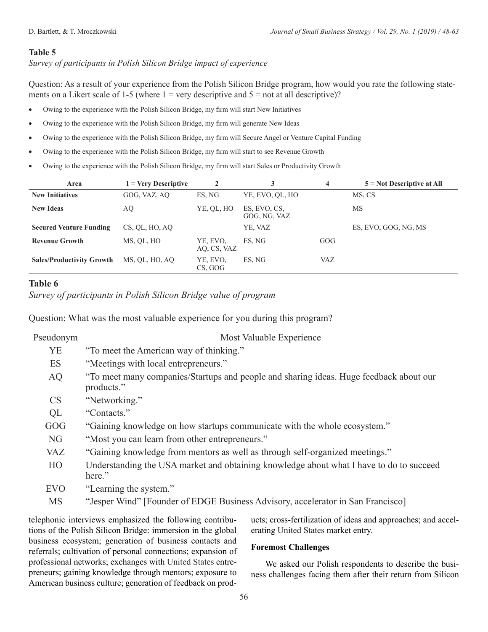*Survey of participants in Polish Silicon Bridge impact of experience*

Question: As a result of your experience from the Polish Silicon Bridge program, how would you rate the following statements on a Likert scale of 1-5 (where  $1 = \text{very descriptive and } 5 = \text{not at all descriptive})$ ?

- Owing to the experience with the Polish Silicon Bridge, my firm will start New Initiatives
- Owing to the experience with the Polish Silicon Bridge, my firm will generate New Ideas
- Owing to the experience with the Polish Silicon Bridge, my firm will Secure Angel or Venture Capital Funding
- Owing to the experience with the Polish Silicon Bridge, my firm will start to see Revenue Growth
- Owing to the experience with the Polish Silicon Bridge, my firm will start Sales or Productivity Growth

| Area                             |                | $\mathbf{2}$            | 3                            | 4          | $5 = Not$ Descriptive at All |
|----------------------------------|----------------|-------------------------|------------------------------|------------|------------------------------|
| <b>New Initiatives</b>           | GOG, VAZ, AO   | ES. NG                  | YE, EVO, QL, HO              |            | MS, CS                       |
| <b>New Ideas</b>                 | AQ             | YE, QL, HO              | ES, EVO, CS,<br>GOG, NG, VAZ |            | MS                           |
| <b>Secured Venture Funding</b>   | CS, QL, HO, AQ |                         | YE, VAZ                      |            | ES, EVO, GOG, NG, MS         |
| <b>Revenue Growth</b>            | MS, OL, HO     | YE, EVO,<br>AO, CS, VAZ | ES. NG                       | GOG        |                              |
| <b>Sales/Productivity Growth</b> | MS, OL, HO, AO | YE, EVO,<br>CS, GOG     | ES. NG                       | <b>VAZ</b> |                              |

# **Table 6**

*Survey of participants in Polish Silicon Bridge value of program*

Question: What was the most valuable experience for you during this program?

| Pseudonym  | Most Valuable Experience                                                                             |
|------------|------------------------------------------------------------------------------------------------------|
| YE         | "To meet the American way of thinking."                                                              |
| <b>ES</b>  | "Meetings with local entrepreneurs."                                                                 |
| AQ         | "To meet many companies/Startups and people and sharing ideas. Huge feedback about our<br>products." |
| <b>CS</b>  | "Networking."                                                                                        |
| QL         | "Contacts."                                                                                          |
| GOG        | "Gaining knowledge on how startups communicate with the whole ecosystem."                            |
| <b>NG</b>  | "Most you can learn from other entrepreneurs."                                                       |
| <b>VAZ</b> | "Gaining knowledge from mentors as well as through self-organized meetings."                         |
| HO         | Understanding the USA market and obtaining knowledge about what I have to do to succeed<br>here."    |
| <b>EVO</b> | "Learning the system."                                                                               |
| <b>MS</b>  | "Jesper Wind" [Founder of EDGE Business Advisory, accelerator in San Francisco]                      |

telephonic interviews emphasized the following contributions of the Polish Silicon Bridge: immersion in the global business ecosystem; generation of business contacts and referrals; cultivation of personal connections; expansion of professional networks; exchanges with United States entrepreneurs; gaining knowledge through mentors; exposure to American business culture; generation of feedback on products; cross-fertilization of ideas and approaches; and accelerating United States market entry.

# **Foremost Challenges**

We asked our Polish respondents to describe the business challenges facing them after their return from Silicon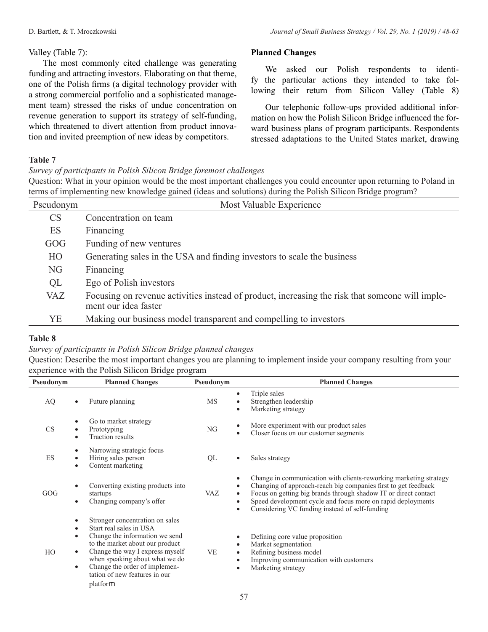We asked our Polish respondents to identify the particular actions they intended to take following their return from Silicon Valley (Table 8)

Our telephonic follow-ups provided additional information on how the Polish Silicon Bridge influenced the forward business plans of program participants. Respondents stressed adaptations to the United States market, drawing

# Valley (Table 7):

The most commonly cited challenge was generating funding and attracting investors. Elaborating on that theme, one of the Polish firms (a digital technology provider with a strong commercial portfolio and a sophisticated management team) stressed the risks of undue concentration on revenue generation to support its strategy of self-funding, which threatened to divert attention from product innovation and invited preemption of new ideas by competitors.

# **Table 7**

*Survey of participants in Polish Silicon Bridge foremost challenges*

Question: What in your opinion would be the most important challenges you could encounter upon returning to Poland in terms of implementing new knowledge gained (ideas and solutions) during the Polish Silicon Bridge program?

**Planned Changes**

| Pseudonym | Most Valuable Experience                                                                                                |
|-----------|-------------------------------------------------------------------------------------------------------------------------|
| CS        | Concentration on team                                                                                                   |
| ES        | Financing                                                                                                               |
| GOG       | Funding of new ventures                                                                                                 |
| HO        | Generating sales in the USA and finding investors to scale the business                                                 |
| NG        | Financing                                                                                                               |
| QL        | Ego of Polish investors                                                                                                 |
| VAZ       | Focusing on revenue activities instead of product, increasing the risk that someone will imple-<br>ment our idea faster |
| YE        | Making our business model transparent and compelling to investors                                                       |

# **Table 8**

# *Survey of participants in Polish Silicon Bridge planned changes*

Question: Describe the most important changes you are planning to implement inside your company resulting from your experience with the Polish Silicon Bridge program

| Pseudonym | <b>Planned Changes</b>                                                                                                                                                                                                                                                                                                                      | Pseudonym                                | <b>Planned Changes</b>                                                                                                                                                                                                                                                                                                  |
|-----------|---------------------------------------------------------------------------------------------------------------------------------------------------------------------------------------------------------------------------------------------------------------------------------------------------------------------------------------------|------------------------------------------|-------------------------------------------------------------------------------------------------------------------------------------------------------------------------------------------------------------------------------------------------------------------------------------------------------------------------|
| AQ        | Future planning                                                                                                                                                                                                                                                                                                                             | $\bullet$<br>MS<br>$\bullet$             | Triple sales<br>Strengthen leadership<br>Marketing strategy                                                                                                                                                                                                                                                             |
| CS        | Go to market strategy<br>٠<br>Prototyping<br>٠<br>Traction results<br>٠                                                                                                                                                                                                                                                                     | NG<br>$\bullet$                          | More experiment with our product sales<br>Closer focus on our customer segments                                                                                                                                                                                                                                         |
| ES        | Narrowing strategic focus<br>٠<br>Hiring sales person<br>٠<br>Content marketing<br>$\bullet$                                                                                                                                                                                                                                                | QL<br>$\bullet$                          | Sales strategy                                                                                                                                                                                                                                                                                                          |
| GOG       | Converting existing products into<br>startups<br>Changing company's offer<br>$\bullet$                                                                                                                                                                                                                                                      | <b>VAZ</b><br>$\bullet$<br>$\bullet$     | Change in communication with clients-reworking marketing strategy<br>Changing of approach-reach big companies first to get feedback<br>Focus on getting big brands through shadow IT or direct contact<br>Speed development cycle and focus more on rapid deployments<br>Considering VC funding instead of self-funding |
| HO        | Stronger concentration on sales<br>٠<br>Start real sales in USA<br>$\bullet$<br>Change the information we send<br>$\bullet$<br>to the market about our product<br>Change the way I express myself<br>$\bullet$<br>when speaking about what we do<br>Change the order of implemen-<br>$\bullet$<br>tation of new features in our<br>platform | $\bullet$<br><b>VE</b><br>$\bullet$<br>٠ | Defining core value proposition<br>Market segmentation<br>Refining business model<br>Improving communication with customers<br>Marketing strategy                                                                                                                                                                       |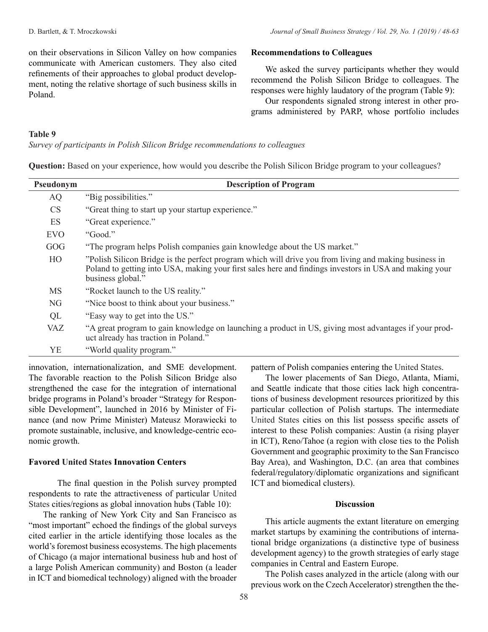on their observations in Silicon Valley on how companies communicate with American customers. They also cited refinements of their approaches to global product development, noting the relative shortage of such business skills in Poland.

#### **Recommendations to Colleagues**

We asked the survey participants whether they would recommend the Polish Silicon Bridge to colleagues. The responses were highly laudatory of the program (Table 9):

Our respondents signaled strong interest in other programs administered by PARP, whose portfolio includes

#### **Table 9**

*Survey of participants in Polish Silicon Bridge recommendations to colleagues*

**Question:** Based on your experience, how would you describe the Polish Silicon Bridge program to your colleagues?

| Pseudonym  | <b>Description of Program</b>                                                                                                                                                                                                        |
|------------|--------------------------------------------------------------------------------------------------------------------------------------------------------------------------------------------------------------------------------------|
| AQ         | "Big possibilities."                                                                                                                                                                                                                 |
| CS         | "Great thing to start up your startup experience."                                                                                                                                                                                   |
| ES         | "Great experience."                                                                                                                                                                                                                  |
| <b>EVO</b> | "Good."                                                                                                                                                                                                                              |
| GOG        | "The program helps Polish companies gain knowledge about the US market."                                                                                                                                                             |
| HO         | "Polish Silicon Bridge is the perfect program which will drive you from living and making business in<br>Poland to getting into USA, making your first sales here and findings investors in USA and making your<br>business global." |
| <b>MS</b>  | "Rocket launch to the US reality."                                                                                                                                                                                                   |
| <b>NG</b>  | "Nice boost to think about your business."                                                                                                                                                                                           |
| QL         | "Easy way to get into the US."                                                                                                                                                                                                       |
| <b>VAZ</b> | "A great program to gain knowledge on launching a product in US, giving most advantages if your prod-<br>uct already has traction in Poland."                                                                                        |
| YE         | "World quality program."                                                                                                                                                                                                             |

innovation, internationalization, and SME development. The favorable reaction to the Polish Silicon Bridge also strengthened the case for the integration of international bridge programs in Poland's broader "Strategy for Responsible Development", launched in 2016 by Minister of Finance (and now Prime Minister) Mateusz Morawiecki to promote sustainable, inclusive, and knowledge-centric economic growth.

#### **Favored United States Innovation Centers**

The final question in the Polish survey prompted respondents to rate the attractiveness of particular United States cities/regions as global innovation hubs (Table 10):

The ranking of New York City and San Francisco as "most important" echoed the findings of the global surveys cited earlier in the article identifying those locales as the world's foremost business ecosystems. The high placements of Chicago (a major international business hub and host of a large Polish American community) and Boston (a leader in ICT and biomedical technology) aligned with the broader

pattern of Polish companies entering the United States.

The lower placements of San Diego, Atlanta, Miami, and Seattle indicate that those cities lack high concentrations of business development resources prioritized by this particular collection of Polish startups. The intermediate United States cities on this list possess specific assets of interest to these Polish companies: Austin (a rising player in ICT), Reno/Tahoe (a region with close ties to the Polish Government and geographic proximity to the San Francisco Bay Area), and Washington, D.C. (an area that combines federal/regulatory/diplomatic organizations and significant ICT and biomedical clusters).

# **Discussion**

This article augments the extant literature on emerging market startups by examining the contributions of international bridge organizations (a distinctive type of business development agency) to the growth strategies of early stage companies in Central and Eastern Europe.

The Polish cases analyzed in the article (along with our previous work on the Czech Accelerator) strengthen the the-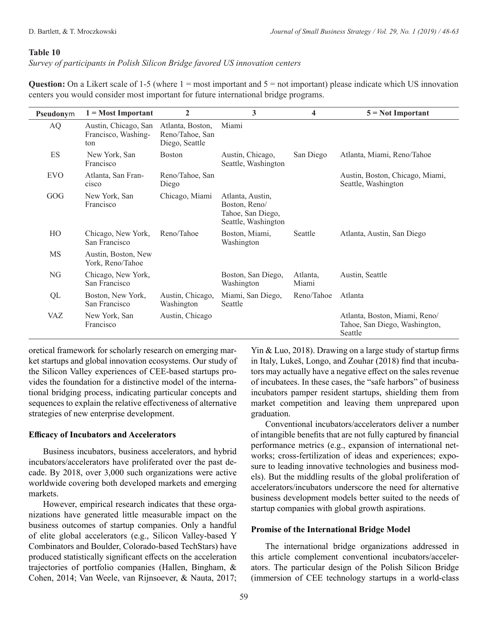*Survey of participants in Polish Silicon Bridge favored US innovation centers*

**Question:** On a Likert scale of 1-5 (where 1 = most important and 5 = not important) please indicate which US innovation centers you would consider most important for future international bridge programs.

| Pseudonym  | $1 = Most Important$                               | $\overline{2}$                                        | 3                                                                             | 4                 | $5 = Not Important$                                                       |
|------------|----------------------------------------------------|-------------------------------------------------------|-------------------------------------------------------------------------------|-------------------|---------------------------------------------------------------------------|
| AQ         | Austin, Chicago, San<br>Francisco, Washing-<br>ton | Atlanta, Boston,<br>Reno/Tahoe, San<br>Diego, Seattle | Miami                                                                         |                   |                                                                           |
| ES         | New York, San<br>Francisco                         | <b>Boston</b>                                         | Austin, Chicago,<br>Seattle, Washington                                       | San Diego         | Atlanta, Miami, Reno/Tahoe                                                |
| <b>EVO</b> | Atlanta, San Fran-<br>cisco                        | Reno/Tahoe, San<br>Diego                              |                                                                               |                   | Austin, Boston, Chicago, Miami,<br>Seattle, Washington                    |
| GOG        | New York, San<br>Francisco                         | Chicago, Miami                                        | Atlanta, Austin,<br>Boston, Reno/<br>Tahoe, San Diego,<br>Seattle, Washington |                   |                                                                           |
| HO         | Chicago, New York,<br>San Francisco                | Reno/Tahoe                                            | Boston, Miami,<br>Washington                                                  | Seattle           | Atlanta, Austin, San Diego                                                |
| MS         | Austin, Boston, New<br>York, Reno/Tahoe            |                                                       |                                                                               |                   |                                                                           |
| NG         | Chicago, New York,<br>San Francisco                |                                                       | Boston, San Diego,<br>Washington                                              | Atlanta,<br>Miami | Austin, Seattle                                                           |
| QL         | Boston, New York,<br>San Francisco                 | Austin, Chicago,<br>Washington                        | Miami, San Diego,<br>Seattle                                                  | Reno/Tahoe        | Atlanta                                                                   |
| VAZ        | New York, San<br>Francisco                         | Austin, Chicago                                       |                                                                               |                   | Atlanta, Boston, Miami, Reno/<br>Tahoe, San Diego, Washington,<br>Seattle |

oretical framework for scholarly research on emerging market startups and global innovation ecosystems. Our study of the Silicon Valley experiences of CEE-based startups provides the foundation for a distinctive model of the international bridging process, indicating particular concepts and sequences to explain the relative effectiveness of alternative strategies of new enterprise development.

# **Efficacy of Incubators and Accelerators**

Business incubators, business accelerators, and hybrid incubators/accelerators have proliferated over the past decade. By 2018, over 3,000 such organizations were active worldwide covering both developed markets and emerging markets.

However, empirical research indicates that these organizations have generated little measurable impact on the business outcomes of startup companies. Only a handful of elite global accelerators (e.g., Silicon Valley-based Y Combinators and Boulder, Colorado-based TechStars) have produced statistically significant effects on the acceleration trajectories of portfolio companies (Hallen, Bingham, & Cohen, 2014; Van Weele, van Rijnsoever, & Nauta, 2017; Yin & Luo, 2018). Drawing on a large study of startup firms in Italy, Lukeš, Longo, and Zouhar (2018) find that incubators may actually have a negative effect on the sales revenue of incubatees. In these cases, the "safe harbors" of business incubators pamper resident startups, shielding them from market competition and leaving them unprepared upon graduation.

Conventional incubators/accelerators deliver a number of intangible benefits that are not fully captured by financial performance metrics (e.g., expansion of international networks; cross-fertilization of ideas and experiences; exposure to leading innovative technologies and business models). But the middling results of the global proliferation of accelerators/incubators underscore the need for alternative business development models better suited to the needs of startup companies with global growth aspirations.

# **Promise of the International Bridge Model**

The international bridge organizations addressed in this article complement conventional incubators/accelerators. The particular design of the Polish Silicon Bridge (immersion of CEE technology startups in a world-class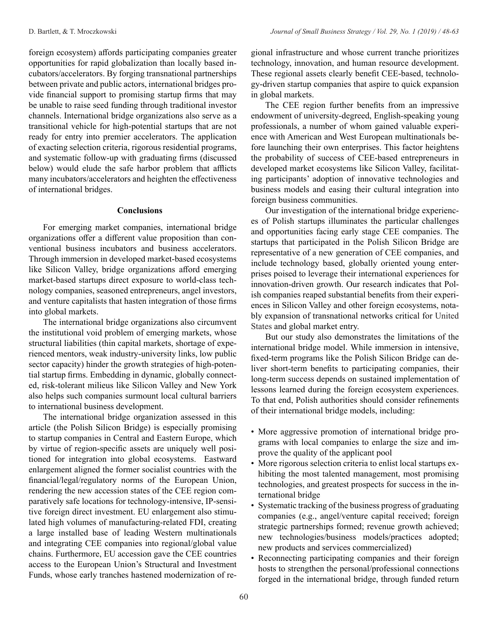foreign ecosystem) affords participating companies greater opportunities for rapid globalization than locally based incubators/accelerators. By forging transnational partnerships between private and public actors, international bridges provide financial support to promising startup firms that may be unable to raise seed funding through traditional investor channels. International bridge organizations also serve as a transitional vehicle for high-potential startups that are not ready for entry into premier accelerators. The application of exacting selection criteria, rigorous residential programs, and systematic follow-up with graduating firms (discussed below) would elude the safe harbor problem that afflicts many incubators/accelerators and heighten the effectiveness of international bridges.

# **Conclusions**

For emerging market companies, international bridge organizations offer a different value proposition than conventional business incubators and business accelerators. Through immersion in developed market-based ecosystems like Silicon Valley, bridge organizations afford emerging market-based startups direct exposure to world-class technology companies, seasoned entrepreneurs, angel investors, and venture capitalists that hasten integration of those firms into global markets.

The international bridge organizations also circumvent the institutional void problem of emerging markets, whose structural liabilities (thin capital markets, shortage of experienced mentors, weak industry-university links, low public sector capacity) hinder the growth strategies of high-potential startup firms. Embedding in dynamic, globally connected, risk-tolerant milieus like Silicon Valley and New York also helps such companies surmount local cultural barriers to international business development.

The international bridge organization assessed in this article (the Polish Silicon Bridge) is especially promising to startup companies in Central and Eastern Europe, which by virtue of region-specific assets are uniquely well positioned for integration into global ecosystems. Eastward enlargement aligned the former socialist countries with the financial/legal/regulatory norms of the European Union, rendering the new accession states of the CEE region comparatively safe locations for technology-intensive, IP-sensitive foreign direct investment. EU enlargement also stimulated high volumes of manufacturing-related FDI, creating a large installed base of leading Western multinationals and integrating CEE companies into regional/global value chains. Furthermore, EU accession gave the CEE countries access to the European Union's Structural and Investment Funds, whose early tranches hastened modernization of regional infrastructure and whose current tranche prioritizes technology, innovation, and human resource development. These regional assets clearly benefit CEE-based, technology-driven startup companies that aspire to quick expansion in global markets.

The CEE region further benefits from an impressive endowment of university-degreed, English-speaking young professionals, a number of whom gained valuable experience with American and West European multinationals before launching their own enterprises. This factor heightens the probability of success of CEE-based entrepreneurs in developed market ecosystems like Silicon Valley, facilitating participants' adoption of innovative technologies and business models and easing their cultural integration into foreign business communities.

Our investigation of the international bridge experiences of Polish startups illuminates the particular challenges and opportunities facing early stage CEE companies. The startups that participated in the Polish Silicon Bridge are representative of a new generation of CEE companies, and include technology based, globally oriented young enterprises poised to leverage their international experiences for innovation-driven growth. Our research indicates that Polish companies reaped substantial benefits from their experiences in Silicon Valley and other foreign ecosystems, notably expansion of transnational networks critical for United States and global market entry.

But our study also demonstrates the limitations of the international bridge model. While immersion in intensive, fixed-term programs like the Polish Silicon Bridge can deliver short-term benefits to participating companies, their long-term success depends on sustained implementation of lessons learned during the foreign ecosystem experiences. To that end, Polish authorities should consider refinements of their international bridge models, including:

- More aggressive promotion of international bridge programs with local companies to enlarge the size and improve the quality of the applicant pool
- More rigorous selection criteria to enlist local startups exhibiting the most talented management, most promising technologies, and greatest prospects for success in the international bridge
- Systematic tracking of the business progress of graduating companies (e.g., angel/venture capital received; foreign strategic partnerships formed; revenue growth achieved; new technologies/business models/practices adopted; new products and services commercialized)
- Reconnecting participating companies and their foreign hosts to strengthen the personal/professional connections forged in the international bridge, through funded return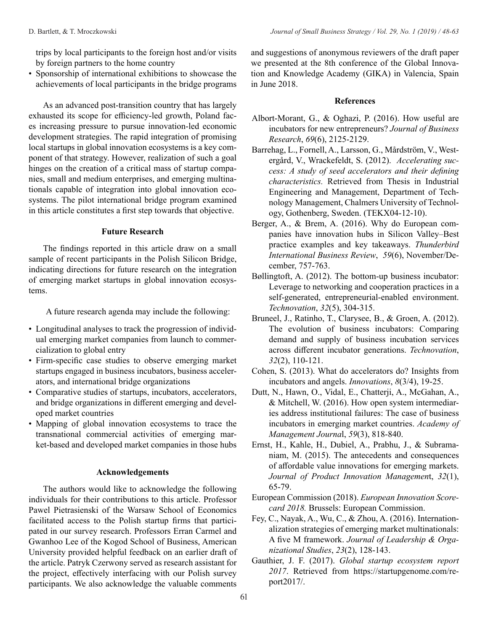trips by local participants to the foreign host and/or visits by foreign partners to the home country

• Sponsorship of international exhibitions to showcase the achievements of local participants in the bridge programs

As an advanced post-transition country that has largely exhausted its scope for efficiency-led growth, Poland faces increasing pressure to pursue innovation-led economic development strategies. The rapid integration of promising local startups in global innovation ecosystems is a key component of that strategy. However, realization of such a goal hinges on the creation of a critical mass of startup companies, small and medium enterprises, and emerging multinationals capable of integration into global innovation ecosystems. The pilot international bridge program examined in this article constitutes a first step towards that objective.

#### **Future Research**

The findings reported in this article draw on a small sample of recent participants in the Polish Silicon Bridge, indicating directions for future research on the integration of emerging market startups in global innovation ecosystems.

A future research agenda may include the following:

- Longitudinal analyses to track the progression of individual emerging market companies from launch to commercialization to global entry
- Firm-specific case studies to observe emerging market startups engaged in business incubators, business accelerators, and international bridge organizations
- Comparative studies of startups, incubators, accelerators, and bridge organizations in different emerging and developed market countries
- Mapping of global innovation ecosystems to trace the transnational commercial activities of emerging market-based and developed market companies in those hubs

#### **Acknowledgements**

The authors would like to acknowledge the following individuals for their contributions to this article. Professor Pawel Pietrasienski of the Warsaw School of Economics facilitated access to the Polish startup firms that participated in our survey research. Professors Erran Carmel and Gwanhoo Lee of the Kogod School of Business, American University provided helpful feedback on an earlier draft of the article. Patryk Czerwony served as research assistant for the project, effectively interfacing with our Polish survey participants. We also acknowledge the valuable comments

and suggestions of anonymous reviewers of the draft paper we presented at the 8th conference of the Global Innovation and Knowledge Academy (GIKA) in Valencia, Spain in June 2018.

#### **References**

- Albort-Morant, G., & Oghazi, P. (2016). How useful are incubators for new entrepreneurs? *Journal of Business Research*, *69*(6), 2125-2129.
- Barrehag, L., Fornell, A., Larsson, G., Mårdström, V., Westergård, V., Wrackefeldt, S. (2012). *Accelerating success: A study of seed accelerators and their defining characteristics.* Retrieved from Thesis in Industrial Engineering and Management, Department of Technology Management, Chalmers University of Technology, Gothenberg, Sweden. (TEKX04-12-10).
- Berger, A., & Brem, A. (2016). Why do European companies have innovation hubs in Silicon Valley–Best practice examples and key takeaways. *Thunderbird International Business Review*, *59*(6), November/December, 757-763.
- Bøllingtoft, A. (2012). The bottom-up business incubator: Leverage to networking and cooperation practices in a self-generated, entrepreneurial-enabled environment. *Technovation*, *32*(5), 304-315.
- Bruneel, J., Ratinho, T., Clarysee, B., & Groen, A. (2012). The evolution of business incubators: Comparing demand and supply of business incubation services across different incubator generations. *Technovation*, *32*(2), 110-121.
- Cohen, S. (2013). What do accelerators do? Insights from incubators and angels. *Innovations*, *8*(3/4), 19-25.
- Dutt, N., Hawn, O., Vidal, E., Chatterji, A., McGahan, A., & Mitchell, W. (2016). How open system intermediaries address institutional failures: The case of business incubators in emerging market countries. *Academy of Management Journa*l, *59*(3), 818-840.
- Ernst, H., Kahle, H., Dubiel, A., Prabhu, J., & Subramaniam, M. (2015). The antecedents and consequences of affordable value innovations for emerging markets. *Journal of Product Innovation Managemen*t, *32*(1), 65-79.
- European Commission (2018). *European Innovation Scorecard 2018.* Brussels: European Commission.
- Fey, C., Nayak, A., Wu, C., & Zhou, A. (2016). Internationalization strategies of emerging market multinationals: A five M framework. *Journal of Leadership & Organizational Studies*, *23*(2), 128-143.
- Gauthier, J. F. (2017). *Global startup ecosystem report 2017*. Retrieved from https://startupgenome.com/report2017/.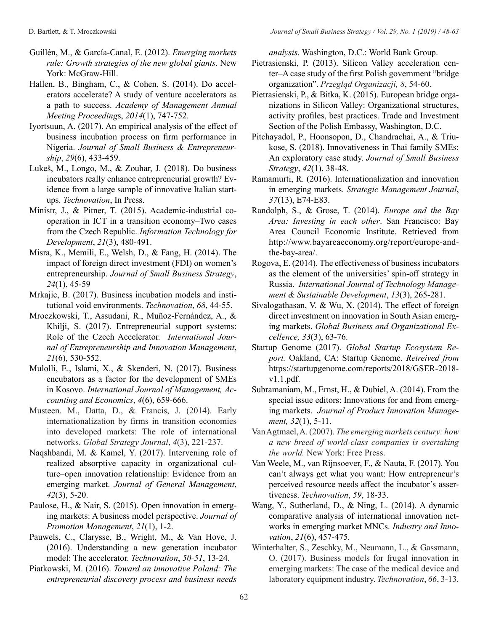- Guillén, M., & García-Canal, E. (2012). *Emerging markets rule: Growth strategies of the new global giants.* New York: McGraw-Hill.
- Hallen, B., Bingham, C., & Cohen, S. (2014). Do accelerators accelerate? A study of venture accelerators as a path to success. *Academy of Management Annual Meeting Proceeding*s, *2014*(1), 747-752.
- Iyortsuun, A. (2017). An empirical analysis of the effect of business incubation process on firm performance in Nigeria. *Journal of Small Business & Entrepreneurship*, *29*(6), 433-459.
- Lukeš, M., Longo, M., & Zouhar, J. (2018). Do business incubators really enhance entrepreneurial growth? Evidence from a large sample of innovative Italian startups. *Technovation*, In Press.
- Ministr, J., & Pitner, T. (2015). Academic-industrial cooperation in ICT in a transition economy–Two cases from the Czech Republic. *Information Technology for Development*, *21*(3), 480-491.
- Misra, K., Memili, E., Welsh, D., & Fang, H. (2014). The impact of foreign direct investment (FDI) on women's entrepreneurship. *Journal of Small Business Strategy*, *24*(1), 45-59
- Mrkajic, B. (2017). Business incubation models and institutional void environments. *Technovation*, *68*, 44-55.
- Mroczkowski, T., Assudani, R., Muñoz-Fernández, A., & Khilji, S. (2017). Entrepreneurial support systems: Role of the Czech Accelerator. *International Journal of Entrepreneurship and Innovation Management*, *21*(6), 530-552.
- Mulolli, E., Islami, X., & Skenderi, N. (2017). Business encubators as a factor for the development of SMEs in Kosovo. *International Journal of Management, Accounting and Economics*, *4*(6), 659-666.
- Musteen. M., Datta, D., & Francis, J. (2014). Early internationalization by firms in transition economies into developed markets: The role of international networks. *Global Strategy Journal*, *4*(3), 221-237.
- Naqshbandi, M. & Kamel, Y. (2017). Intervening role of realized absorptive capacity in organizational culture–open innovation relationship: Evidence from an emerging market. *Journal of General Management*, *42*(3), 5-20.
- Paulose, H., & Nair, S. (2015). Open innovation in emerging markets: A business model perspective. *Journal of Promotion Management*, *21*(1), 1-2.
- Pauwels, C., Clarysse, B., Wright, M., & Van Hove, J. (2016). Understanding a new generation incubator model: The accelerator. *Technovation*, *50-51*, 13-24.
- Piatkowski, M. (2016). *Toward an innovative Poland: The entrepreneurial discovery process and business needs*

*analysis*. Washington, D.C.: World Bank Group.

- Pietrasienski, P. (2013). Silicon Valley acceleration center–A case study of the first Polish government "bridge organization". *Przegląd Organizacji, 8*, 54-60.
- Pietrasienski, P., & Bitka, K. (2015). European bridge organizations in Silicon Valley: Organizational structures, activity profiles, best practices. Trade and Investment Section of the Polish Embassy, Washington, D.C.
- Pitchayadol, P., Hoonsopon, D., Chandrachai, A., & Triukose, S. (2018). Innovativeness in Thai family SMEs: An exploratory case study. *Journal of Small Business Strategy*, *42*(1), 38-48.
- Ramamurti, R. (2016). Internationalization and innovation in emerging markets. *Strategic Management Journal*, *37*(13), E74-E83.
- Randolph, S., & Grose, T. (2014). *Europe and the Bay Area: Investing in each other*. San Francisco: Bay Area Council Economic Institute. Retrieved from http://www.bayareaeconomy.org/report/europe-andthe-bay-area/.
- Rogova, E. (2014). The effectiveness of business incubators as the element of the universities' spin-off strategy in Russia. *International Journal of Technology Management & Sustainable Development*, *13*(3), 265-281.
- Sivalogathasan, V. & Wu, X. (2014). The effect of foreign direct investment on innovation in South Asian emerging markets. *Global Business and Organizational Excellence, 33*(3), 63-76.
- Startup Genome (2017). *Global Startup Ecosystem Report.* Oakland, CA: Startup Genome. *Retreived from*  https://startupgenome.com/reports/2018/GSER-2018 v1.1.pdf.
- Subramaniam, M., Ernst, H., & Dubiel, A. (2014). From the special issue editors: Innovations for and from emerging markets. *Journal of Product Innovation Management, 32*(1), 5-11.
- Van Agtmael, A. (2007). *The emerging markets century: how a new breed of world-class companies is overtaking the world.* New York: Free Press.
- Van Weele, M., van Rijnsoever, F., & Nauta, F. (2017). You can't always get what you want: How entrepreneur's perceived resource needs affect the incubator's assertiveness. *Technovation*, *59*, 18-33.
- Wang, Y., Sutherland, D., & Ning, L. (2014). A dynamic comparative analysis of international innovation networks in emerging market MNCs. *Industry and Innovation*, *21*(6), 457-475.
- Winterhalter, S., Zeschky, M., Neumann, L., & Gassmann, O. (2017). Business models for frugal innovation in emerging markets: The case of the medical device and laboratory equipment industry. *Technovation*, *66*, 3-13.